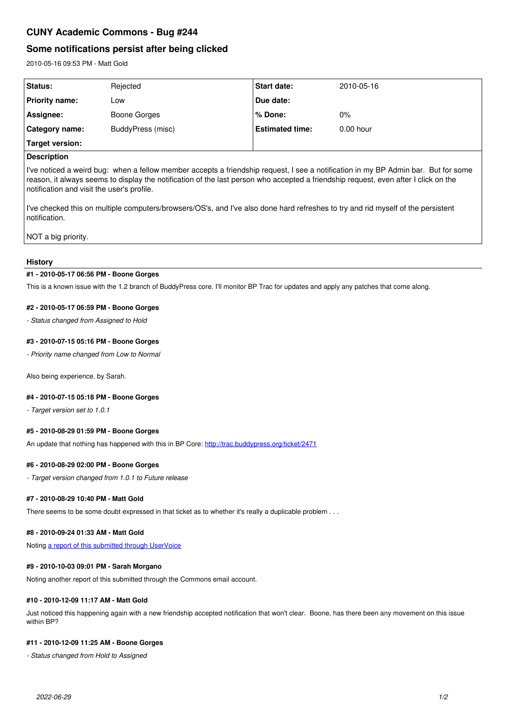# **CUNY Academic Commons - Bug #244**

# **Some notifications persist after being clicked**

2010-05-16 09:53 PM - Matt Gold

| <b>Status:</b>        | Rejected          | <b>Start date:</b>     | 2010-05-16  |
|-----------------------|-------------------|------------------------|-------------|
| <b>Priority name:</b> | _OW               | Due date:              |             |
| Assignee:             | Boone Gorges      | % Done:                | $0\%$       |
| Category name:        | BuddyPress (misc) | <b>Estimated time:</b> | $0.00$ hour |
| Target version:       |                   |                        |             |

# **Description**

I've noticed a weird bug: when a fellow member accepts a friendship request, I see a notification in my BP Admin bar. But for some reason, it always seems to display the notification of the last person who accepted a friendship request, even after I click on the notification and visit the user's profile.

I've checked this on multiple computers/browsers/OS's, and I've also done hard refreshes to try and rid myself of the persistent notification.

NOT a big priority.

## **History**

#### **#1 - 2010-05-17 06:56 PM - Boone Gorges**

This is a known issue with the 1.2 branch of BuddyPress core. I'll monitor BP Trac for updates and apply any patches that come along.

## **#2 - 2010-05-17 06:59 PM - Boone Gorges**

*- Status changed from Assigned to Hold*

## **#3 - 2010-07-15 05:16 PM - Boone Gorges**

*- Priority name changed from Low to Normal*

Also being experience. by Sarah.

#### **#4 - 2010-07-15 05:18 PM - Boone Gorges**

*- Target version set to 1.0.1*

## **#5 - 2010-08-29 01:59 PM - Boone Gorges**

An update that nothing has happened with this in BP Core:<http://trac.buddypress.org/ticket/2471>

#### **#6 - 2010-08-29 02:00 PM - Boone Gorges**

*- Target version changed from 1.0.1 to Future release*

#### **#7 - 2010-08-29 10:40 PM - Matt Gold**

There seems to be some doubt expressed in that ticket as to whether it's really a duplicable problem . . .

## **#8 - 2010-09-24 01:33 AM - Matt Gold**

Noting [a report of this submitted through UserVoice](https://cunycommons.uservoice.com/admin/forums/40046-bug-reports/suggestions/1082203-notification-will-not-go-away)

#### **#9 - 2010-10-03 09:01 PM - Sarah Morgano**

Noting another report of this submitted through the Commons email account.

#### **#10 - 2010-12-09 11:17 AM - Matt Gold**

Just noticed this happening again with a new friendship accepted notification that won't clear. Boone, has there been any movement on this issue within BP?

#### **#11 - 2010-12-09 11:25 AM - Boone Gorges**

*- Status changed from Hold to Assigned*